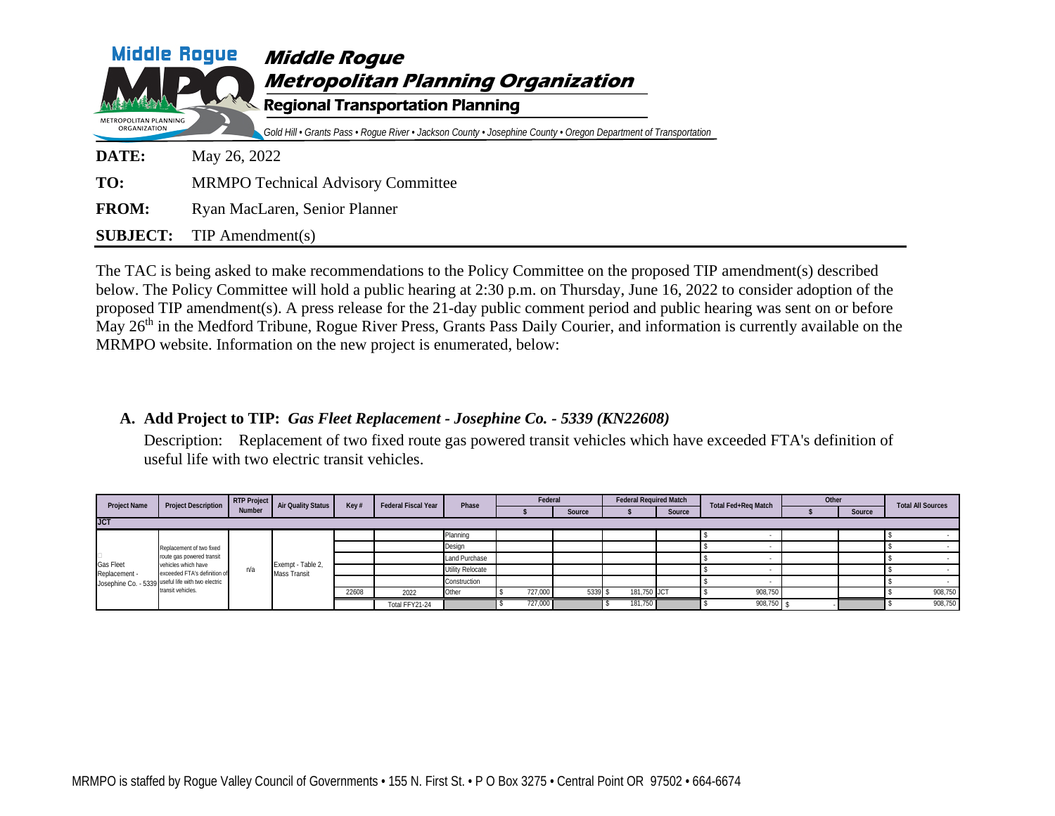| <b>Middle Rogue</b>                   | <b>Middle Roque</b><br><b>Metropolitan Planning Organization</b>                                                                                           |
|---------------------------------------|------------------------------------------------------------------------------------------------------------------------------------------------------------|
| METROPOLITAN PLANNING<br>ORGANIZATION | <b>Regional Transportation Planning</b><br>Gold Hill • Grants Pass • Roque River • Jackson County • Josephine County • Oregon Department of Transportation |
| DATE:                                 | May 26, 2022                                                                                                                                               |
| TO:                                   | <b>MRMPO Technical Advisory Committee</b>                                                                                                                  |
| <b>FROM:</b>                          | Ryan MacLaren, Senior Planner                                                                                                                              |
| <b>SUBJECT:</b>                       | $TIP$ Amendment(s)                                                                                                                                         |

The TAC is being asked to make recommendations to the Policy Committee on the proposed TIP amendment(s) described below. The Policy Committee will hold a public hearing at 2:30 p.m. on Thursday, June 16, 2022 to consider adoption of the proposed TIP amendment(s). A press release for the 21-day public comment period and public hearing was sent on or before May 26<sup>th</sup> in the Medford Tribune, Rogue River Press, Grants Pass Daily Courier, and information is currently available on the MRMPO website. Information on the new project is enumerated, below:

## **A. Add Project to TIP:** *Gas Fleet Replacement - Josephine Co. - 5339 (KN22608)*

Description: Replacement of two fixed route gas powered transit vehicles which have exceeded FTA's definition of useful life with two electric transit vehicles.

| <b>Project Name</b>               | <b>Project Description</b>                                                                                                                                                              | <b>RTP Project</b><br><b>Number</b> | <b>Air Quality Status</b>                |       |                |                  |         |               |             |        |         |               |        | <b>Federal Fiscal Year</b> | Phase | Federal |  | <b>Federal Required Match</b> |  | <b>Total Fed+Reg Match</b> | Other |  | <b>Total All Sources</b> |
|-----------------------------------|-----------------------------------------------------------------------------------------------------------------------------------------------------------------------------------------|-------------------------------------|------------------------------------------|-------|----------------|------------------|---------|---------------|-------------|--------|---------|---------------|--------|----------------------------|-------|---------|--|-------------------------------|--|----------------------------|-------|--|--------------------------|
|                                   |                                                                                                                                                                                         |                                     |                                          | Key # |                |                  |         | <b>Source</b> |             | Source |         |               | Source |                            |       |         |  |                               |  |                            |       |  |                          |
| <b>JCT</b>                        |                                                                                                                                                                                         |                                     |                                          |       |                |                  |         |               |             |        |         |               |        |                            |       |         |  |                               |  |                            |       |  |                          |
|                                   |                                                                                                                                                                                         |                                     |                                          |       |                | Planning         |         |               |             |        |         |               |        |                            |       |         |  |                               |  |                            |       |  |                          |
|                                   | Replacement of two fixed<br>route gas powered transit<br>vehicles which have<br>exceeded FTA's definition of<br>Josephine Co. - 5339 useful life with two electric<br>transit vehicles. | n/a                                 | Exempt - Table 2,<br><b>Mass Transit</b> |       |                | Design           |         |               |             |        |         |               |        |                            |       |         |  |                               |  |                            |       |  |                          |
|                                   |                                                                                                                                                                                         |                                     |                                          |       |                |                  |         |               |             |        |         | Land Purchase |        |                            |       |         |  |                               |  |                            |       |  |                          |
| <b>Gas Fleet</b><br>Replacement - |                                                                                                                                                                                         |                                     |                                          |       |                | Utility Relocate |         |               |             |        |         |               |        |                            |       |         |  |                               |  |                            |       |  |                          |
|                                   |                                                                                                                                                                                         |                                     |                                          |       |                | Construction     |         |               |             |        |         |               |        |                            |       |         |  |                               |  |                            |       |  |                          |
|                                   |                                                                                                                                                                                         |                                     |                                          | 22608 | 2022           | Other            | 727,000 | 5339          | 181,750 JCT |        | 908,750 |               |        | 908,750                    |       |         |  |                               |  |                            |       |  |                          |
|                                   |                                                                                                                                                                                         |                                     |                                          |       | Total FFY21-24 |                  | 727,000 |               | 181,750     |        | 908,750 |               |        | 908,750                    |       |         |  |                               |  |                            |       |  |                          |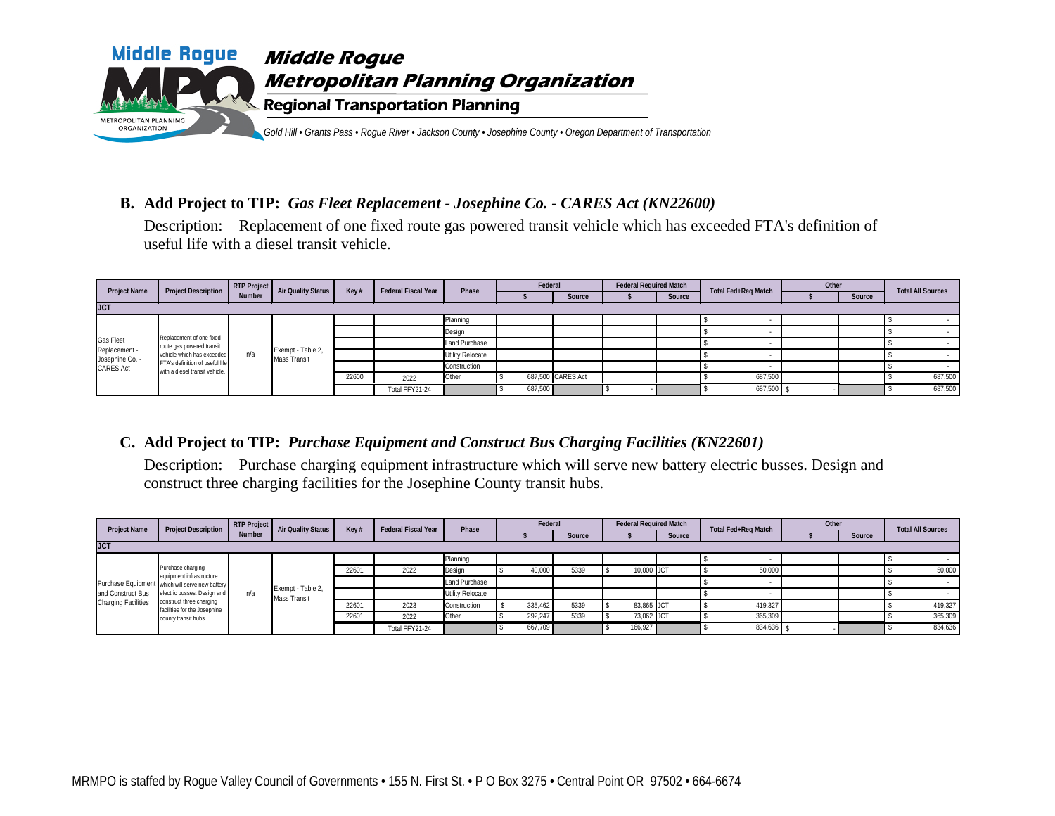

## **B. Add Project to TIP:** *Gas Fleet Replacement - Josephine Co. - CARES Act (KN22600)*

Description: Replacement of one fixed route gas powered transit vehicle which has exceeded FTA's definition of useful life with a diesel transit vehicle.

| <b>Project Name</b>              | <b>Project Description</b>                                        | RTP Project Air Quality Status<br><b>Number</b> |                                   |       | <b>Federal Fiscal Year</b> | Phase            | Federal |                   | <b>Federal Required Match</b> |        | <b>Total Fed+Reg Match</b> | Other |               | <b>Total All Sources</b> |
|----------------------------------|-------------------------------------------------------------------|-------------------------------------------------|-----------------------------------|-------|----------------------------|------------------|---------|-------------------|-------------------------------|--------|----------------------------|-------|---------------|--------------------------|
|                                  |                                                                   |                                                 |                                   | Key#  |                            |                  |         | <b>Source</b>     |                               | Source |                            |       | <b>Source</b> |                          |
| <b>JCT</b>                       |                                                                   |                                                 |                                   |       |                            |                  |         |                   |                               |        |                            |       |               |                          |
|                                  | Replacement of one fixed<br>route gas powered transit             |                                                 |                                   |       |                            | Planning         |         |                   |                               |        |                            |       |               |                          |
|                                  |                                                                   | n/a                                             | Exempt - Table 2,<br>Mass Transit |       |                            | Design           |         |                   |                               |        |                            |       |               |                          |
| <b>Gas Fleet</b>                 |                                                                   |                                                 |                                   |       |                            | Land Purchase    |         |                   |                               |        |                            |       |               |                          |
| Replacement -<br>Josephine Co. - | vehicle which has exceeded                                        |                                                 |                                   |       |                            | Utility Relocate |         |                   |                               |        |                            |       |               |                          |
| <b>CARES Act</b>                 | FTA's definition of useful life<br>with a diesel transit vehicle. |                                                 |                                   |       |                            | Construction     |         |                   |                               |        |                            |       |               |                          |
|                                  |                                                                   |                                                 |                                   | 22600 | 2022                       | Other            |         | 687,500 CARES Act |                               |        | 687,500                    |       |               | 687,500                  |
|                                  |                                                                   |                                                 |                                   |       | Total FFY21-24             |                  | 687,500 |                   |                               |        | 687,500                    |       |               | 687,500                  |

## **C. Add Project to TIP:** *Purchase Equipment and Construct Bus Charging Facilities (KN22601)*

Description: Purchase charging equipment infrastructure which will serve new battery electric busses. Design and construct three charging facilities for the Josephine County transit hubs.

| <b>Project Name</b>        | <b>Project Description</b>                                                                                                                                                                                          | <b>Number</b> | RTP Project Air Quality Status    | Kev#  | <b>Federal Fiscal Year</b> | Phase            | Federal |        | <b>Federal Required Match</b> |               | <b>Total Fed+Reg Match</b> | Other |        | <b>Total All Sources</b> |
|----------------------------|---------------------------------------------------------------------------------------------------------------------------------------------------------------------------------------------------------------------|---------------|-----------------------------------|-------|----------------------------|------------------|---------|--------|-------------------------------|---------------|----------------------------|-------|--------|--------------------------|
|                            |                                                                                                                                                                                                                     |               |                                   |       |                            |                  |         | Source |                               | <b>Source</b> |                            |       | Source |                          |
| <b>JCT</b>                 |                                                                                                                                                                                                                     |               |                                   |       |                            |                  |         |        |                               |               |                            |       |        |                          |
|                            | Purchase charging<br>equipment infrastructure<br>Purchase Equipment which will serve new battery<br>electric busses. Design and<br>construct three charging<br>facilities for the Josephine<br>county transit hubs. |               |                                   |       |                            | Planning         |         |        |                               |               |                            |       |        |                          |
|                            |                                                                                                                                                                                                                     | n/a           | Exempt - Table 2,<br>Mass Transit | 22601 | 2022                       | Design           | 40,000  | 5339   | 10,000 JCT                    |               | 50,000                     |       |        | 50,000                   |
|                            |                                                                                                                                                                                                                     |               |                                   |       |                            | Land Purchase    |         |        |                               |               |                            |       |        |                          |
| and Construct Bus          |                                                                                                                                                                                                                     |               |                                   |       |                            | Utility Relocate |         |        |                               |               |                            |       |        |                          |
| <b>Charging Facilities</b> |                                                                                                                                                                                                                     |               |                                   | 22601 | 2023                       | Construction     | 335,462 | 5339   | 83,865 JCT                    |               | 419,327                    |       |        | 419,327                  |
|                            |                                                                                                                                                                                                                     |               |                                   | 22601 | 2022                       | Other            | 292.247 | 5339   | 73.062 JCT                    |               | 365,309                    |       |        | 365,309                  |
|                            |                                                                                                                                                                                                                     |               |                                   |       | Total FFY21-24             |                  | 667,709 |        | 166,927                       |               | 834,636                    |       |        | 834,636                  |